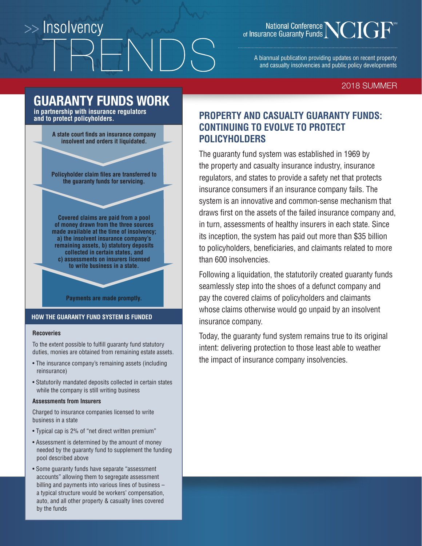# >> Insolvency

National Conference<br>
of Insurance Guaranty Funds

A biannual publication providing updates on recent property and casualty insolvencies and public policy developments

#### 2018 SUMMER

#### **GUARANTY FUNDS WORK in partnership with insurance regulators**

**and to protect policyholders.**



**Policyholder claim files are transferred to the guaranty funds for servicing.**

**Covered claims are paid from a pool of money drawn from the three sources made available at the time of insolvency; a) the insolvent insurance company's remaining assets, b) statutory deposits collected in certain states, and c) assessments on insurers licensed to write business in a state.**

#### **Payments are made promptly.**

#### **HOW THE GUARANTY FUND SYSTEM IS FUNDED**

#### **Recoveries**

To the extent possible to fulfill guaranty fund statutory duties, monies are obtained from remaining estate assets.

- The insurance company's remaining assets (including reinsurance)
- Statutorily mandated deposits collected in certain states while the company is still writing business

#### **Assessments from Insurers**

Charged to insurance companies licensed to write business in a state

- Typical cap is 2% of "net direct written premium"
- Assessment is determined by the amount of money needed by the guaranty fund to supplement the funding pool described above
- Some guaranty funds have separate "assessment accounts" allowing them to segregate assessment billing and payments into various lines of business – a typical structure would be workers' compensation, auto, and all other property & casualty lines covered by the funds

#### **PROPERTY AND CASUALTY GUARANTY FUNDS: CONTINUING TO EVOLVE TO PROTECT POLICYHOLDERS**

The guaranty fund system was established in 1969 by the property and casualty insurance industry, insurance regulators, and states to provide a safety net that protects insurance consumers if an insurance company fails. The system is an innovative and common-sense mechanism that draws first on the assets of the failed insurance company and, in turn, assessments of healthy insurers in each state. Since its inception, the system has paid out more than \$35 billion to policyholders, beneficiaries, and claimants related to more than 600 insolvencies.

Following a liquidation, the statutorily created guaranty funds seamlessly step into the shoes of a defunct company and pay the covered claims of policyholders and claimants whose claims otherwise would go unpaid by an insolvent insurance company.

Today, the guaranty fund system remains true to its original intent: delivering protection to those least able to weather the impact of insurance company insolvencies.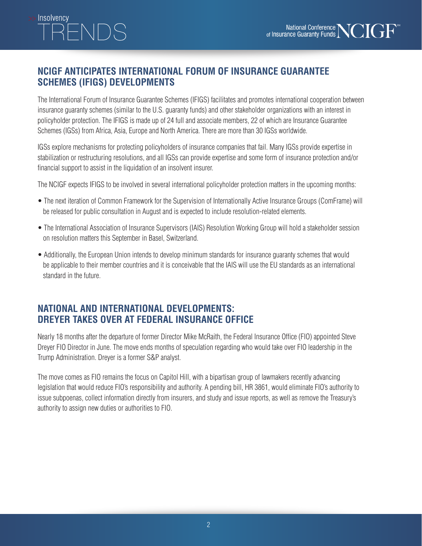# · Insolvencv

#### **NCIGF ANTICIPATES INTERNATIONAL FORUM OF INSURANCE GUARANTEE SCHEMES (IFIGS) DEVELOPMENTS**

The International Forum of Insurance Guarantee Schemes (IFIGS) facilitates and promotes international cooperation between insurance guaranty schemes (similar to the U.S. guaranty funds) and other stakeholder organizations with an interest in policyholder protection. The IFIGS is made up of 24 full and associate members, 22 of which are Insurance Guarantee Schemes (IGSs) from Africa, Asia, Europe and North America. There are more than 30 IGSs worldwide.

IGSs explore mechanisms for protecting policyholders of insurance companies that fail. Many IGSs provide expertise in stabilization or restructuring resolutions, and all IGSs can provide expertise and some form of insurance protection and/or financial support to assist in the liquidation of an insolvent insurer.

The NCIGF expects IFIGS to be involved in several international policyholder protection matters in the upcoming months:

- The next iteration of Common Framework for the Supervision of Internationally Active Insurance Groups (ComFrame) will be released for public consultation in August and is expected to include resolution-related elements.
- The International Association of Insurance Supervisors (IAIS) Resolution Working Group will hold a stakeholder session on resolution matters this September in Basel, Switzerland.
- Additionally, the European Union intends to develop minimum standards for insurance guaranty schemes that would be applicable to their member countries and it is conceivable that the IAIS will use the EU standards as an international standard in the future.

#### **NATIONAL AND INTERNATIONAL DEVELOPMENTS: DREYER TAKES OVER AT FEDERAL INSURANCE OFFICE**

Nearly 18 months after the departure of former Director Mike McRaith, the Federal Insurance Office (FIO) appointed Steve Dreyer FIO Director in June. The move ends months of speculation regarding who would take over FIO leadership in the Trump Administration. Dreyer is a former S&P analyst.

The move comes as FIO remains the focus on Capitol Hill, with a bipartisan group of lawmakers recently advancing legislation that would reduce FIO's responsibility and authority. A pending bill, HR 3861, would eliminate FIO's authority to issue subpoenas, collect information directly from insurers, and study and issue reports, as well as remove the Treasury's authority to assign new duties or authorities to FIO.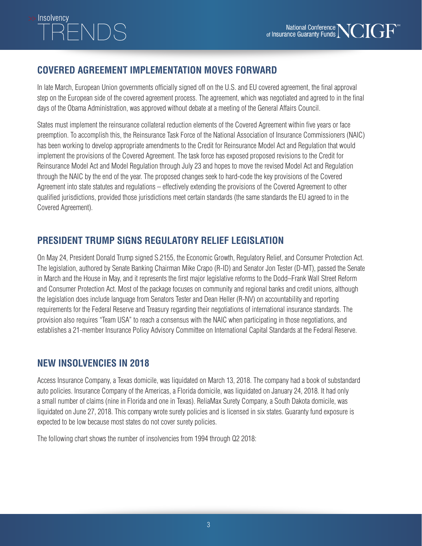# >> Insolvencv  $\bigcap$

#### **COVERED AGREEMENT IMPLEMENTATION MOVES FORWARD**

In late March, European Union governments officially signed off on the U.S. and EU covered agreement, the final approval step on the European side of the covered agreement process. The agreement, which was negotiated and agreed to in the final days of the Obama Administration, was approved without debate at a meeting of the General Affairs Council.

States must implement the reinsurance collateral reduction elements of the Covered Agreement within five years or face preemption. To accomplish this, the Reinsurance Task Force of the National Association of Insurance Commissioners (NAIC) has been working to develop appropriate amendments to the Credit for Reinsurance Model Act and Regulation that would implement the provisions of the Covered Agreement. The task force has exposed proposed revisions to the Credit for Reinsurance Model Act and Model Regulation through July 23 and hopes to move the revised Model Act and Regulation through the NAIC by the end of the year. The proposed changes seek to hard-code the key provisions of the Covered Agreement into state statutes and regulations – effectively extending the provisions of the Covered Agreement to other qualified jurisdictions, provided those jurisdictions meet certain standards (the same standards the EU agreed to in the Covered Agreement).

### **PRESIDENT TRUMP SIGNS REGULATORY RELIEF LEGISLATION**

On May 24, President Donald Trump signed S.2155, the Economic Growth, Regulatory Relief, and Consumer Protection Act. The legislation, authored by Senate Banking Chairman Mike Crapo (R-ID) and Senator Jon Tester (D-MT), passed the Senate in March and the House in May, and it represents the first major legislative reforms to the Dodd–Frank Wall Street Reform and Consumer Protection Act. Most of the package focuses on community and regional banks and credit unions, although the legislation does include language from Senators Tester and Dean Heller (R-NV) on accountability and reporting requirements for the Federal Reserve and Treasury regarding their negotiations of international insurance standards. The provision also requires "Team USA" to reach a consensus with the NAIC when participating in those negotiations, and establishes a 21-member Insurance Policy Advisory Committee on International Capital Standards at the Federal Reserve.

#### **NEW INSOLVENCIES IN 2018**

Access Insurance Company, a Texas domicile, was liquidated on March 13, 2018. The company had a book of substandard auto policies. Insurance Company of the Americas, a Florida domicile, was liquidated on January 24, 2018. It had only a small number of claims (nine in Florida and one in Texas). ReliaMax Surety Company, a South Dakota domicile, was liquidated on June 27, 2018. This company wrote surety policies and is licensed in six states. Guaranty fund exposure is expected to be low because most states do not cover surety policies.

The following chart shows the number of insolvencies from 1994 through Q2 2018: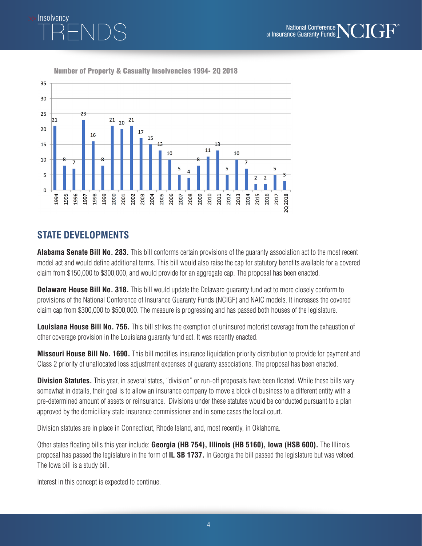

Insolvency

Number of Property & Casualty Insolvencies 1994- 2Q 2018



#### **STATE DEVELOPMENTS**

**Alabama Senate Bill No. 283.** This bill conforms certain provisions of the guaranty association act to the most recent model act and would define additional terms. This bill would also raise the cap for statutory benefits available for a covered claim from \$150,000 to \$300,000, and would provide for an aggregate cap. The proposal has been enacted.

**Delaware House Bill No. 318.** This bill would update the Delaware guaranty fund act to more closely conform to provisions of the National Conference of Insurance Guaranty Funds (NCIGF) and NAIC models. It increases the covered claim cap from \$300,000 to \$500,000. The measure is progressing and has passed both houses of the legislature.

**Louisiana House Bill No. 756.** This bill strikes the exemption of uninsured motorist coverage from the exhaustion of other coverage provision in the Louisiana guaranty fund act. It was recently enacted.

**Missouri House Bill No. 1690.** This bill modifies insurance liquidation priority distribution to provide for payment and Class 2 priority of unallocated loss adjustment expenses of guaranty associations. The proposal has been enacted.

**Division Statutes.** This year, in several states, "division" or run-off proposals have been floated. While these bills vary somewhat in details, their goal is to allow an insurance company to move a block of business to a different entity with a pre-determined amount of assets or reinsurance. Divisions under these statutes would be conducted pursuant to a plan approved by the domiciliary state insurance commissioner and in some cases the local court.

Division statutes are in place in Connecticut, Rhode Island, and, most recently, in Oklahoma.

Other states floating bills this year include: **Georgia (HB 754), Illinois (HB 5160), Iowa (HSB 600).** The Illinois proposal has passed the legislature in the form of **IL SB 1737.** In Georgia the bill passed the legislature but was vetoed. The Iowa bill is a study bill.

Interest in this concept is expected to continue.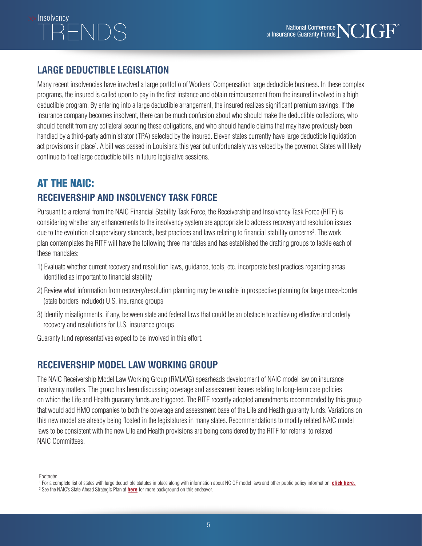# Insolvencv

#### **LARGE DEDUCTIBLE LEGISLATION**

Many recent insolvencies have involved a large portfolio of Workers' Compensation large deductible business. In these complex programs, the insured is called upon to pay in the first instance and obtain reimbursement from the insured involved in a high deductible program. By entering into a large deductible arrangement, the insured realizes significant premium savings. If the insurance company becomes insolvent, there can be much confusion about who should make the deductible collections, who should benefit from any collateral securing these obligations, and who should handle claims that may have previously been handled by a third-party administrator (TPA) selected by the insured. Eleven states currently have large deductible liquidation act provisions in place<sup>1</sup>. A bill was passed in Louisiana this year but unfortunately was vetoed by the governor. States will likely continue to float large deductible bills in future legislative sessions.

# AT THE NAIC:

### **RECEIVERSHIP AND INSOLVENCY TASK FORCE**

Pursuant to a referral from the NAIC Financial Stability Task Force, the Receivership and Insolvency Task Force (RITF) is considering whether any enhancements to the insolvency system are appropriate to address recovery and resolution issues due to the evolution of supervisory standards, best practices and laws relating to financial stability concerns<sup>2</sup>. The work plan contemplates the RITF will have the following three mandates and has established the drafting groups to tackle each of these mandates:

- 1) Evaluate whether current recovery and resolution laws, guidance, tools, etc. incorporate best practices regarding areas identified as important to financial stability
- 2) Review what information from recovery/resolution planning may be valuable in prospective planning for large cross-border (state borders included) U.S. insurance groups
- 3) Identify misalignments, if any, between state and federal laws that could be an obstacle to achieving effective and orderly recovery and resolutions for U.S. insurance groups

Guaranty fund representatives expect to be involved in this effort.

#### **RECEIVERSHIP MODEL LAW WORKING GROUP**

The NAIC Receivership Model Law Working Group (RMLWG) spearheads development of NAIC model law on insurance insolvency matters. The group has been discussing coverage and assessment issues relating to long-term care policies on which the Life and Health guaranty funds are triggered. The RITF recently adopted amendments recommended by this group that would add HMO companies to both the coverage and assessment base of the Life and Health guaranty funds. Variations on this new model are already being floated in the legislatures in many states. Recommendations to modify related NAIC model laws to be consistent with the new Life and Health provisions are being considered by the RITF for referral to related NAIC Committees.

Footnote:

<sup>&</sup>lt;sup>1</sup> For a complete list of states with large deductible statutes in place along with information about NCIGF model laws and other public policy information, <mark>[click here.](http://ncigf.org/policyleg)</mark>

<sup>2</sup> See the NAIC's State Ahead Strategic Plan at **[here](https://www.naic.org/documents/state_ahead_strategic_plan.pdf?680)** for more background on this endeavor.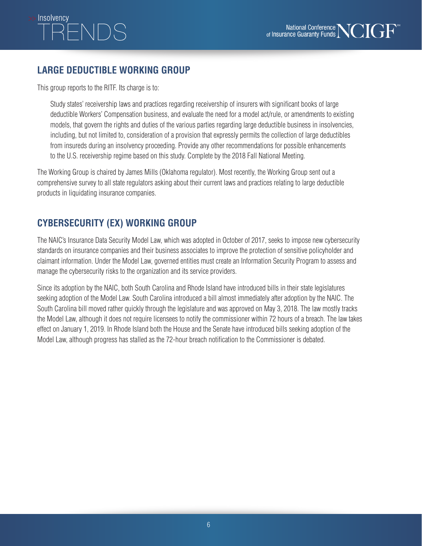# Insolvencv

### **LARGE DEDUCTIBLE WORKING GROUP**

This group reports to the RITF. Its charge is to:

Study states' receivership laws and practices regarding receivership of insurers with significant books of large deductible Workers' Compensation business, and evaluate the need for a model act/rule, or amendments to existing models, that govern the rights and duties of the various parties regarding large deductible business in insolvencies, including, but not limited to, consideration of a provision that expressly permits the collection of large deductibles from insureds during an insolvency proceeding. Provide any other recommendations for possible enhancements to the U.S. receivership regime based on this study. Complete by the 2018 Fall National Meeting.

The Working Group is chaired by James Mills (Oklahoma regulator). Most recently, the Working Group sent out a comprehensive survey to all state regulators asking about their current laws and practices relating to large deductible products in liquidating insurance companies.

## **CYBERSECURITY (EX) WORKING GROUP**

The NAIC's Insurance Data Security Model Law, which was adopted in October of 2017, seeks to impose new cybersecurity standards on insurance companies and their business associates to improve the protection of sensitive policyholder and claimant information. Under the Model Law, governed entities must create an Information Security Program to assess and manage the cybersecurity risks to the organization and its service providers.

Since its adoption by the NAIC, both South Carolina and Rhode Island have introduced bills in their state legislatures seeking adoption of the Model Law. South Carolina introduced a bill almost immediately after adoption by the NAIC. The South Carolina bill moved rather quickly through the legislature and was approved on May 3, 2018. The law mostly tracks the Model Law, although it does not require licensees to notify the commissioner within 72 hours of a breach. The law takes effect on January 1, 2019. In Rhode Island both the House and the Senate have introduced bills seeking adoption of the Model Law, although progress has stalled as the 72-hour breach notification to the Commissioner is debated.